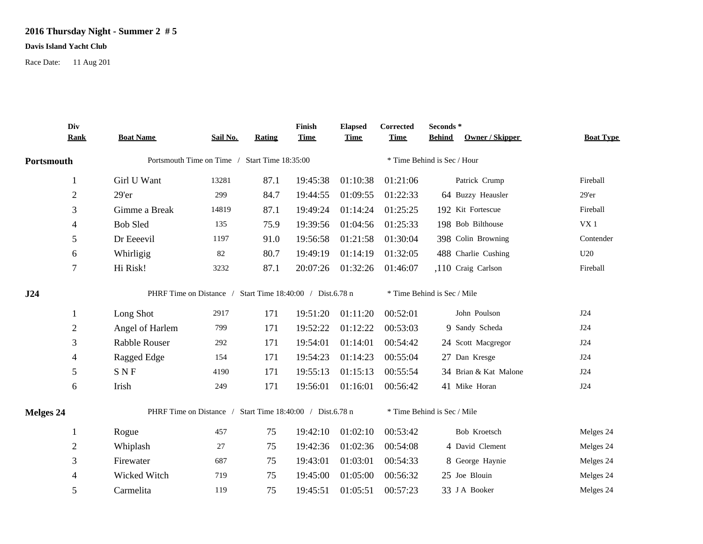## **2016 Thursday Night - Summer 2 # 5**

## **Davis Island Yacht Club**

Race Date: 11 Aug 201

|            | Div<br><b>Rank</b> | <b>Boat Name</b>                                          | Sail No.                                      | <b>Rating</b> | Finish<br><b>Time</b> | <b>Elapsed</b><br><b>Time</b> | Corrected<br><b>Time</b> | Seconds*<br><b>Owner / Skipper</b><br><b>Behind</b> | <b>Boat Type</b> |  |  |
|------------|--------------------|-----------------------------------------------------------|-----------------------------------------------|---------------|-----------------------|-------------------------------|--------------------------|-----------------------------------------------------|------------------|--|--|
|            |                    |                                                           |                                               |               |                       |                               |                          |                                                     |                  |  |  |
| Portsmouth |                    |                                                           | Portsmouth Time on Time / Start Time 18:35:00 |               |                       |                               |                          | * Time Behind is Sec / Hour                         |                  |  |  |
|            | 1                  | Girl U Want                                               | 13281                                         | 87.1          | 19:45:38              | 01:10:38                      | 01:21:06                 | Patrick Crump                                       | Fireball         |  |  |
|            | $\overline{2}$     | 29'er                                                     | 299                                           | 84.7          | 19:44:55              | 01:09:55                      | 01:22:33                 | 64 Buzzy Heausler                                   | $29'$ er         |  |  |
|            | 3                  | Gimme a Break                                             | 14819                                         | 87.1          | 19:49:24              | 01:14:24                      | 01:25:25                 | 192 Kit Fortescue                                   | Fireball         |  |  |
|            | 4                  | <b>Bob Sled</b>                                           | 135                                           | 75.9          | 19:39:56              | 01:04:56                      | 01:25:33                 | 198 Bob Bilthouse                                   | VX1              |  |  |
|            | 5                  | Dr Eeeevil                                                | 1197                                          | 91.0          | 19:56:58              | 01:21:58                      | 01:30:04                 | 398 Colin Browning                                  | Contender        |  |  |
|            | 6                  | Whirligig                                                 | 82                                            | 80.7          | 19:49:19              | 01:14:19                      | 01:32:05                 | 488 Charlie Cushing                                 | U20              |  |  |
|            | $\overline{7}$     | Hi Risk!                                                  | 3232                                          | 87.1          | 20:07:26              | 01:32:26                      | 01:46:07                 | ,110 Craig Carlson                                  | Fireball         |  |  |
| J24        |                    | PHRF Time on Distance / Start Time 18:40:00 / Dist.6.78 n |                                               |               |                       |                               |                          | * Time Behind is Sec / Mile                         |                  |  |  |
|            | 1                  | Long Shot                                                 | 2917                                          | 171           | 19:51:20              | 01:11:20                      | 00:52:01                 | John Poulson                                        | J24              |  |  |
|            | $\overline{2}$     | Angel of Harlem                                           | 799                                           | 171           | 19:52:22              | 01:12:22                      | 00:53:03                 | 9 Sandy Scheda                                      | J24              |  |  |
|            | 3                  | Rabble Rouser                                             | 292                                           | 171           | 19:54:01              | 01:14:01                      | 00:54:42                 | 24 Scott Macgregor                                  | J24              |  |  |
|            | 4                  | Ragged Edge                                               | 154                                           | 171           | 19:54:23              | 01:14:23                      | 00:55:04                 | 27 Dan Kresge                                       | J24              |  |  |
|            | 5                  | <b>SNF</b>                                                | 4190                                          | 171           | 19:55:13              | 01:15:13                      | 00:55:54                 | 34 Brian & Kat Malone                               | J24              |  |  |
|            | 6                  | Irish                                                     | 249                                           | 171           | 19:56:01              | 01:16:01                      | 00:56:42                 | 41 Mike Horan                                       | J24              |  |  |
| Melges 24  |                    | PHRF Time on Distance / Start Time 18:40:00 / Dist.6.78 n |                                               |               |                       |                               |                          | * Time Behind is Sec / Mile                         |                  |  |  |
|            | $\mathbf{1}$       | Rogue                                                     | 457                                           | 75            | 19:42:10              | 01:02:10                      | 00:53:42                 | Bob Kroetsch                                        | Melges 24        |  |  |
|            | $\overline{2}$     | Whiplash                                                  | 27                                            | 75            | 19:42:36              | 01:02:36                      | 00:54:08                 | 4 David Clement                                     | Melges 24        |  |  |
|            | 3                  | Firewater                                                 | 687                                           | 75            | 19:43:01              | 01:03:01                      | 00:54:33                 | 8 George Haynie                                     | Melges 24        |  |  |
|            | 4                  | Wicked Witch                                              | 719                                           | 75            | 19:45:00              | 01:05:00                      | 00:56:32                 | 25 Joe Blouin                                       | Melges 24        |  |  |
|            | 5                  | Carmelita                                                 | 119                                           | 75            | 19:45:51              | 01:05:51                      | 00:57:23                 | 33 J A Booker                                       | Melges 24        |  |  |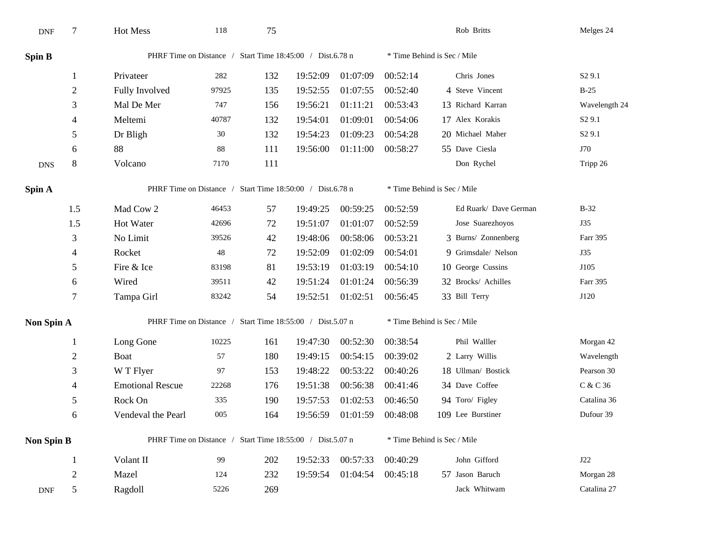| <b>DNF</b>        | 7              | Hot Mess                                                  | 118   | 75  |          |          |                             | Rob Britts                  | Melges 24          |  |  |  |
|-------------------|----------------|-----------------------------------------------------------|-------|-----|----------|----------|-----------------------------|-----------------------------|--------------------|--|--|--|
| <b>Spin B</b>     |                | PHRF Time on Distance / Start Time 18:45:00 / Dist.6.78 n |       |     |          |          |                             | * Time Behind is Sec / Mile |                    |  |  |  |
|                   | 1              | Privateer                                                 | 282   | 132 | 19:52:09 | 01:07:09 | 00:52:14                    | Chris Jones                 | S <sub>2</sub> 9.1 |  |  |  |
|                   | $\overline{2}$ | Fully Involved                                            | 97925 | 135 | 19:52:55 | 01:07:55 | 00:52:40                    | 4 Steve Vincent             | $B-25$             |  |  |  |
|                   | 3              | Mal De Mer                                                | 747   | 156 | 19:56:21 | 01:11:21 | 00:53:43                    | 13 Richard Karran           | Wavelength 24      |  |  |  |
|                   | 4              | Meltemi                                                   | 40787 | 132 | 19:54:01 | 01:09:01 | 00:54:06                    | 17 Alex Korakis             | S <sub>2</sub> 9.1 |  |  |  |
|                   | 5              | Dr Bligh                                                  | 30    | 132 | 19:54:23 | 01:09:23 | 00:54:28                    | 20 Michael Maher            | S <sub>2</sub> 9.1 |  |  |  |
|                   | 6              | 88                                                        | 88    | 111 | 19:56:00 | 01:11:00 | 00:58:27                    | 55 Dave Ciesla              | J70                |  |  |  |
| <b>DNS</b>        | $\,8\,$        | Volcano                                                   | 7170  | 111 |          |          |                             | Don Rychel                  | Tripp 26           |  |  |  |
| Spin A            |                | PHRF Time on Distance / Start Time 18:50:00 / Dist.6.78 n |       |     |          |          |                             | * Time Behind is Sec / Mile |                    |  |  |  |
|                   | 1.5            | Mad Cow 2                                                 | 46453 | 57  | 19:49:25 | 00:59:25 | 00:52:59                    | Ed Ruark/ Dave German       | $B-32$             |  |  |  |
|                   | 1.5            | Hot Water                                                 | 42696 | 72  | 19:51:07 | 01:01:07 | 00:52:59                    | Jose Suarezhoyos            | J35                |  |  |  |
|                   | 3              | No Limit                                                  | 39526 | 42  | 19:48:06 | 00:58:06 | 00:53:21                    | 3 Burns/ Zonnenberg         | Farr 395           |  |  |  |
|                   | 4              | Rocket                                                    | 48    | 72  | 19:52:09 | 01:02:09 | 00:54:01                    | 9 Grimsdale/ Nelson         | <b>J35</b>         |  |  |  |
|                   | 5              | Fire & Ice                                                | 83198 | 81  | 19:53:19 | 01:03:19 | 00:54:10                    | 10 George Cussins           | J105               |  |  |  |
|                   | 6              | Wired                                                     | 39511 | 42  | 19:51:24 | 01:01:24 | 00:56:39                    | 32 Brocks/ Achilles         | Farr 395           |  |  |  |
|                   | 7              | Tampa Girl                                                | 83242 | 54  | 19:52:51 | 01:02:51 | 00:56:45                    | 33 Bill Terry               | J120               |  |  |  |
| Non Spin A        |                | PHRF Time on Distance / Start Time 18:55:00 / Dist.5.07 n |       |     |          |          | * Time Behind is Sec / Mile |                             |                    |  |  |  |
|                   | 1              | Long Gone                                                 | 10225 | 161 | 19:47:30 | 00:52:30 | 00:38:54                    | Phil Walller                | Morgan 42          |  |  |  |
|                   | $\overline{2}$ | Boat                                                      | 57    | 180 | 19:49:15 | 00:54:15 | 00:39:02                    | 2 Larry Willis              | Wavelength         |  |  |  |
|                   | 3              | W T Flyer                                                 | 97    | 153 | 19:48:22 | 00:53:22 | 00:40:26                    | 18 Ullman/ Bostick          | Pearson 30         |  |  |  |
|                   | 4              | <b>Emotional Rescue</b>                                   | 22268 | 176 | 19:51:38 | 00:56:38 | 00:41:46                    | 34 Dave Coffee              | C & C 36           |  |  |  |
|                   | 5              | Rock On                                                   | 335   | 190 | 19:57:53 | 01:02:53 | 00:46:50                    | 94 Toro/ Figley             | Catalina 36        |  |  |  |
|                   | 6              | Vendeval the Pearl                                        | 005   | 164 | 19:56:59 | 01:01:59 | 00:48:08                    | 109 Lee Burstiner           | Dufour 39          |  |  |  |
| <b>Non Spin B</b> |                | PHRF Time on Distance / Start Time 18:55:00 / Dist.5.07 n |       |     |          |          |                             | * Time Behind is Sec / Mile |                    |  |  |  |
|                   | 1              | Volant II                                                 | 99    | 202 | 19:52:33 | 00:57:33 | 00:40:29                    | John Gifford                | J22                |  |  |  |
|                   | $\sqrt{2}$     | Mazel                                                     | 124   | 232 | 19:59:54 | 01:04:54 | 00:45:18                    | 57 Jason Baruch             | Morgan 28          |  |  |  |
| <b>DNF</b>        | 5              | Ragdoll                                                   | 5226  | 269 |          |          |                             | Jack Whitwam                | Catalina 27        |  |  |  |